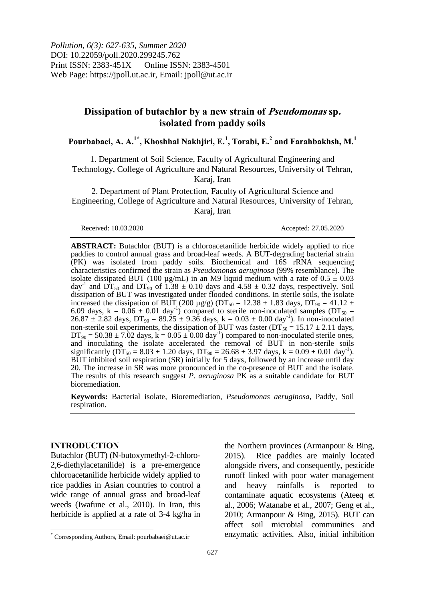*Pollution, 6(3): 627-635, Summer 2020* DOI: 10.22059/poll.2020.299245.762 Print ISSN: 2383-451X Online ISSN: 2383-4501 Web Page: https://jpoll.ut.ac.ir, Email: jpoll@ut.ac.ir

# **Dissipation of butachlor by a new strain of Pseudomonas sp. isolated from paddy soils**

**Pourbabaei, A. A.1\* , Khoshhal Nakhjiri, E.<sup>1</sup> , Torabi, E.<sup>2</sup> and Farahbakhsh, M.<sup>1</sup>**

1. Department of Soil Science, Faculty of Agricultural Engineering and Technology, College of Agriculture and Natural Resources, University of Tehran, Karaj, Iran

2. Department of Plant Protection, Faculty of Agricultural Science and Engineering, College of Agriculture and Natural Resources, University of Tehran, Karaj, Iran

Received: 10.03.2020 Accepted: 27.05.2020

**ABSTRACT:** Butachlor (BUT) is a chloroacetanilide herbicide widely applied to rice paddies to control annual grass and broad-leaf weeds. A BUT-degrading bacterial strain (PK) was isolated from paddy soils. Biochemical and 16S rRNA sequencing characteristics confirmed the strain as *Pseudomonas aeruginosa* (99% resemblance). The isolate dissipated BUT (100  $\mu$ g/mL) in an M9 liquid medium with a rate of 0.5  $\pm$  0.03 day<sup>-1</sup> and  $DT_{50}$  and  $DT_{90}$  of 1.38  $\pm$  0.10 days and 4.58  $\pm$  0.32 days, respectively. Soil dissipation of BUT was investigated under flooded conditions. In sterile soils, the isolate increased the dissipation of BUT (200 µg/g) (DT<sub>50</sub> = 12.38  $\pm$  1.83 days, DT<sub>90</sub> = 41.12  $\pm$ 6.09 days, k =  $0.06 \pm 0.01$  day<sup>-1</sup>) compared to sterile non-inoculated samples (DT<sub>50</sub> =  $26.87 \pm 2.82$  days, DT<sub>90</sub> =  $89.25 \pm 9.36$  days, k =  $0.03 \pm 0.00$  day<sup>-1</sup>). In non-inoculated non-sterile soil experiments, the dissipation of BUT was faster ( $DT_{50} = 15.17 \pm 2.11$  days,  $DT_{90} = 50.38 \pm 7.02$  days, k = 0.05  $\pm$  0.00 day<sup>-1</sup>) compared to non-inoculated sterile ones, and inoculating the isolate accelerated the removal of BUT in non-sterile soils significantly ( $\overline{DT}_{50} = 8.03 \pm 1.20$  days,  $DT_{90} = 26.68 \pm 3.97$  days,  $k = 0.09 \pm 0.01$  day<sup>-1</sup>). BUT inhibited soil respiration (SR) initially for 5 days, followed by an increase until day 20. The increase in SR was more pronounced in the co-presence of BUT and the isolate. The results of this research suggest *P. aeruginosa* PK as a suitable candidate for BUT bioremediation.

**Keywords:** Bacterial isolate, Bioremediation, *Pseudomonas aeruginosa*, Paddy, Soil respiration.

#### **INTRODUCTION**

 $\overline{\phantom{a}}$ 

Butachlor (BUT) (N-butoxymethyl-2-chloro-2,6-diethylacetanilide) is a pre-emergence chloroacetanilide herbicide widely applied to rice paddies in Asian countries to control a wide range of annual grass and broad-leaf weeds (Iwafune et al., 2010). In Iran, this herbicide is applied at a rate of 3-4 kg/ha in

the Northern provinces (Armanpour & Bing, 2015). Rice paddies are mainly located alongside rivers, and consequently, pesticide runoff linked with poor water management and heavy rainfalls is reported to contaminate aquatic ecosystems (Ateeq et al., 2006; Watanabe et al., 2007; Geng et al., 2010; Armanpour & Bing, 2015). BUT can affect soil microbial communities and enzymatic activities. Also, initial inhibition

<sup>\*</sup> Corresponding Authors, Email: pourbabaei@ut.ac.ir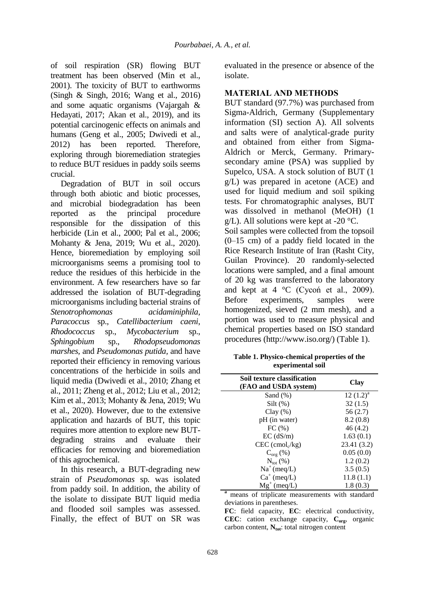of soil respiration (SR) flowing BUT treatment has been observed (Min et al., 2001). The toxicity of BUT to earthworms (Singh & Singh, 2016; Wang et al., 2016) and some aquatic organisms (Vajargah & Hedayati, 2017; Akan et al., 2019), and its potential carcinogenic effects on animals and humans (Geng et al., 2005; Dwivedi et al., 2012) has been reported. Therefore, exploring through bioremediation strategies to reduce BUT residues in paddy soils seems crucial.

Degradation of BUT in soil occurs through both abiotic and biotic processes, and microbial biodegradation has been reported as the principal procedure responsible for the dissipation of this herbicide (Lin et al., 2000; Pal et al., 2006; Mohanty & Jena, 2019; Wu et al., 2020). Hence, bioremediation by employing soil microorganisms seems a promising tool to reduce the residues of this herbicide in the environment. A few researchers have so far addressed the isolation of BUT-degrading microorganisms including bacterial strains of *Stenotrophomonas acidaminiphila, Paracoccus* sp., *Catellibacterium caeni*, *Rhodococcus* sp., *Mycobacterium* sp., *Sphingobium* sp., *Rhodopseudomonas marshes,* and *Pseudomonas putida,* and have reported their efficiency in removing various concentrations of the herbicide in soils and liquid media (Dwivedi et al., 2010; Zhang et al., 2011; Zheng et al., 2012; Liu et al., 2012; Kim et al., 2013; Mohanty & Jena, 2019; Wu et al., 2020). However, due to the extensive application and hazards of BUT, this topic requires more attention to explore new BUTdegrading strains and evaluate their efficacies for removing and bioremediation of this agrochemical.

In this research, a BUT-degrading new strain of *Pseudomonas* sp*.* was isolated from paddy soil. In addition, the ability of the isolate to dissipate BUT liquid media and flooded soil samples was assessed. Finally, the effect of BUT on SR was evaluated in the presence or absence of the isolate.

## **MATERIAL AND METHODS**

BUT standard (97.7%) was purchased from Sigma-Aldrich, Germany (Supplementary information (SI) section A). All solvents and salts were of analytical-grade purity and obtained from either from Sigma-Aldrich or Merck, Germany. Primarysecondary amine (PSA) was supplied by Supelco, USA. A stock solution of BUT (1 g/L) was prepared in acetone (ACE) and used for liquid medium and soil spiking tests. For chromatographic analyses, BUT was dissolved in methanol (MeOH) (1  $g/L$ ). All solutions were kept at -20 °C. Soil samples were collected from the topsoil (0–15 cm) of a paddy field located in the Rice Research Institute of Iran (Rasht City, Guilan Province). 20 randomly-selected locations were sampled, and a final amount of 20 kg was transferred to the laboratory and kept at  $4 \text{ }^{\circ}C$  (Cycon et al., 2009). Before experiments, samples were homogenized, sieved (2 mm mesh), and a portion was used to measure physical and chemical properties based on ISO standard procedures (http://www.iso.org/) (Table 1).

| Table 1. Physico-chemical properties of the |  |
|---------------------------------------------|--|
| experimental soil                           |  |

| Soil texture classification<br>(FAO and USDA system) | Clay         |
|------------------------------------------------------|--------------|
| Sand $(\%)$                                          | $12 (1.2)^a$ |
| $Silt(\%)$                                           | 32(1.5)      |
| $Clay(\%)$                                           | 56(2.7)      |
| pH (in water)                                        | 8.2(0.8)     |
| FC(%)                                                | 46(4.2)      |
| $EC$ (dS/m)                                          | 1.63(0.1)    |
| $CEC$ (cmol <sub>c</sub> /kg)                        | 23.41 (3.2)  |
| $C_{\text{org}}(\%)$                                 | 0.05(0.0)    |
| $N_{\rm tot}$ (%)                                    | 1.2(0.2)     |
| $Na^+(meq/L)$                                        | 3.5(0.5)     |
| $Ca^+$ (meq/L)                                       | 11.8(1.1)    |
| $Mg^+$ (meq/L)                                       | 1.8(0.3)     |

**<sup>a</sup>** means of triplicate measurements with standard deviations in parentheses.

**FC**: field capacity, **EC**: electrical conductivity, **CEC**: cation exchange capacity, **Corg**, organic carbon content, N<sub>tot</sub>: total nitrogen content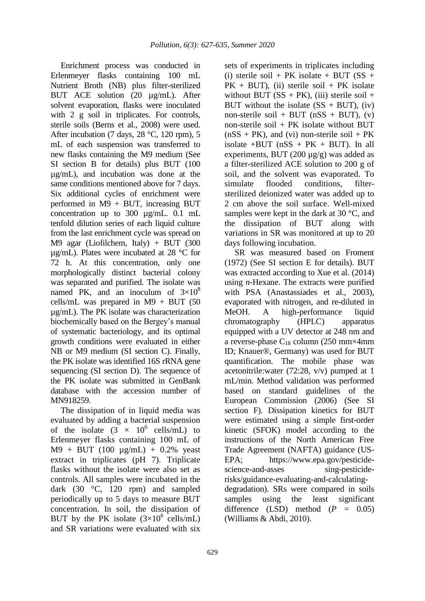Enrichment process was conducted in Erlenmeyer flasks containing 100 mL Nutrient Broth (NB) plus filter-sterilized BUT ACE solution (20 µg/mL). After solvent evaporation, flasks were inoculated with 2 g soil in triplicates. For controls, sterile soils (Berns et al., 2008) were used. After incubation (7 days, 28 °C, 120 rpm), 5 mL of each suspension was transferred to new flasks containing the M9 medium (See SI section B for details) plus BUT (100 µg/mL), and incubation was done at the same conditions mentioned above for 7 days. Six additional cycles of enrichment were performed in M9 + BUT, increasing BUT concentration up to 300 µg/mL. 0.1 mL tenfold dilution series of each liquid culture from the last enrichment cycle was spread on M9 agar (Liofilchem, Italy) + BUT (300 µg/mL). Plates were incubated at 28 °C for 72 h. At this concentration, only one morphologically distinct bacterial colony was separated and purified. The isolate was named PK, and an inoculum of  $3\times10^8$ cells/mL was prepared in  $M9 + BUT$  (50 µg/mL). The PK isolate was characterization biochemically based on the Bergey's manual of systematic bacteriology, and its optimal growth conditions were evaluated in either NB or M9 medium (SI section C). Finally, the PK isolate was identified 16S rRNA gene sequencing (SI section D). The sequence of the PK isolate was submitted in GenBank database with the accession number of MN918259.

The dissipation of in liquid media was evaluated by adding a bacterial suspension of the isolate  $(3 \times 10^6 \text{ cells/mL})$  to Erlenmeyer flasks containing 100 mL of  $M9 + BUT (100 \mu g/mL) + 0.2\%$  yeast extract in triplicates (pH 7). Triplicate flasks without the isolate were also set as controls. All samples were incubated in the dark (30 °C, 120 rpm) and sampled periodically up to 5 days to measure BUT concentration. In soil, the dissipation of BUT by the PK isolate  $(3\times10^6 \text{ cells/mL})$ and SR variations were evaluated with six

sets of experiments in triplicates including (i) sterile soil + PK isolate + BUT  $(SS +$  $PK + BUT$ , (ii) sterile soil + PK isolate without BUT ( $SS + PK$ ), (iii) sterile soil + BUT without the isolate  $(SS + BUT)$ , (iv) non-sterile soil + BUT ( $nSS + BUT$ ), (v) non-sterile soil  $+$  PK isolate without BUT  $(nSS + PK)$ , and (vi) non-sterile soil + PK isolate  $+$ BUT ( $n$ SS  $+$  PK  $+$  BUT). In all experiments, BUT (200 µg/g) was added as a filter-sterilized ACE solution to 200 g of soil, and the solvent was evaporated. To simulate flooded conditions, filtersterilized deionized water was added up to 2 cm above the soil surface. Well-mixed samples were kept in the dark at 30 °C, and the dissipation of BUT along with variations in SR was monitored at up to 20 days following incubation.

SR was measured based on Froment (1972) (See SI section E for details). BUT was extracted according to Xue et al. (2014) using *n*-Hexane. The extracts were purified with PSA (Anastassiades et al., 2003), evaporated with nitrogen, and re-diluted in MeOH. A high-performance liquid chromatography (HPLC) apparatus equipped with a UV detector at 248 nm and a reverse-phase  $C_{18}$  column (250 mm×4mm ID; Knauer®, Germany) was used for BUT quantification. The mobile phase was acetonitrile:water (72:28, v/v) pumped at 1 mL/min. Method validation was performed based on standard guidelines of the European Commission (2006) (See SI section F). Dissipation kinetics for BUT were estimated using a simple first-order kinetic (SFOK) model according to the instructions of the North American Free Trade Agreement (NAFTA) guidance (US-EPA; https://www.epa.gov/pesticidescience-and-asses sing-pesticiderisks/guidance-evaluating-and-calculatingdegradation). SRs were compared in soils samples using the least significant difference (LSD) method  $(P = 0.05)$ (Williams & Abdi, 2010).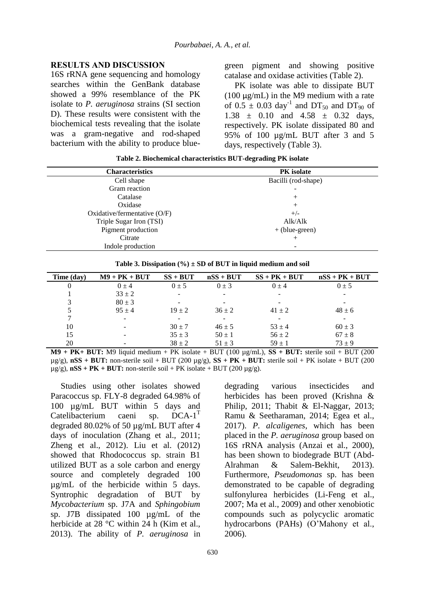#### **RESULTS AND DISCUSSION**

16S rRNA gene sequencing and homology searches within the GenBank database showed a 99% resemblance of the PK isolate to *P. aeruginosa* strains (SI section D). These results were consistent with the biochemical tests revealing that the isolate was a gram-negative and rod-shaped bacterium with the ability to produce bluegreen pigment and showing positive catalase and oxidase activities (Table 2).

PK isolate was able to dissipate BUT (100  $\mu$ g/mL) in the M9 medium with a rate of  $0.5 \pm 0.03 \text{ day}^{-1}$  and DT<sub>50</sub> and DT<sub>90</sub> of  $1.38 \pm 0.10$  and  $4.58 \pm 0.32$  days, respectively. PK isolate dissipated 80 and 95% of 100 µg/mL BUT after 3 and 5 days, respectively (Table 3).

**Table 2. Biochemical characteristics BUT-degrading PK isolate**

| <b>Characteristics</b>       | <b>PK</b> isolate   |  |  |
|------------------------------|---------------------|--|--|
| Cell shape                   | Bacilli (rod-shape) |  |  |
| Gram reaction                |                     |  |  |
| Catalase                     | $^{+}$              |  |  |
| Oxidase                      | $^{+}$              |  |  |
| Oxidative/fermentative (O/F) | $+/-$               |  |  |
| Triple Sugar Iron (TSI)      | Alk/Alk             |  |  |
| Pigment production           | $+$ (blue-green)    |  |  |
| Citrate                      | $^{+}$              |  |  |
| Indole production            | -                   |  |  |

| Table 3. Dissipation $(\% ) \pm SD$ of BUT in liquid medium and soil |  |  |  |  |  |
|----------------------------------------------------------------------|--|--|--|--|--|
|----------------------------------------------------------------------|--|--|--|--|--|

| Time (day) | $M9 + PK + BUT$          | $SS + BUT$ | $nSS + BUT$ | $SS + PK + BUT$          | $nSS + PK + BUT$ |
|------------|--------------------------|------------|-------------|--------------------------|------------------|
|            | $0 + 4$                  | $0 \pm 5$  | $0 \pm 3$   | $0 \pm 4$                | $0 \pm 5$        |
|            | $33 \pm 2$               |            |             | $\overline{\phantom{a}}$ |                  |
| 3          | $80 \pm 3$               |            |             | $\overline{\phantom{a}}$ |                  |
| 5          | $95 + 4$                 | $19 \pm 2$ | $36 \pm 2$  | $41 \pm 2$               | $48 \pm 6$       |
|            | $\overline{\phantom{a}}$ |            |             |                          |                  |
| 10         | -                        | $30 \pm 7$ | $46 \pm 5$  | $53 \pm 4$               | $60 \pm 3$       |
| 15         | $\overline{\phantom{a}}$ | $35 + 3$   | $50 \pm 1$  | $56 \pm 2$               | $67 \pm 8$       |
| 20         | -                        | $38 \pm 2$ | $51 \pm 3$  | $59 \pm 1$               | $73 + 9$         |

**M9 + PK+ BUT:** M9 liquid medium + PK isolate + BUT (100 µg/mL), **SS + BUT:** sterile soil + BUT (200  $\mu$ g/g), **nSS** + **BUT:** non-sterile soil + BUT (200  $\mu$ g/g), **SS** + **PK** + **BUT:** sterile soil + PK isolate + BUT (200  $\mu$ g/g), **nSS** + **PK** + **BUT:** non-sterile soil + **PK** isolate + **BUT** (200  $\mu$ g/g).

Studies using other isolates showed Paracoccus sp. FLY-8 degraded 64.98% of 100 µg/mL BUT within 5 days and Catelibacterium caeni sp.  $DCA-1$ <sup>T</sup> degraded 80.02% of 50 µg/mL BUT after 4 days of inoculation (Zhang et al.*,* 2011; Zheng et al.*,* 2012). Liu et al. (2012) showed that Rhodococcus sp. strain B1 utilized BUT as a sole carbon and energy source and completely degraded 100 µg/mL of the herbicide within 5 days. Syntrophic degradation of BUT by *Mycobacterium* sp. J7A and *Sphingobium* sp. J7B dissipated 100 µg/mL of the herbicide at 28 °C within 24 h (Kim et al., 2013). The ability of *P. aeruginosa* in

degrading various insecticides and herbicides has been proved (Krishna & Philip, 2011; Thabit & El-Naggar, 2013; Ramu & Seetharaman, 2014; Egea et al., 2017). *P. alcaligenes*, which has been placed in the *P. aeruginosa* group based on 16S rRNA analysis (Anzai et al., 2000), has been shown to biodegrade BUT (Abd-Alrahman & Salem-Bekhit, 2013). Furthermore, *Pseudomonas* sp. has been demonstrated to be capable of degrading sulfonylurea herbicides (Li-Feng et al., 2007; Ma et al., 2009) and other xenobiotic compounds such as polycyclic aromatic hydrocarbons (PAHs) (O'Mahony et al., 2006).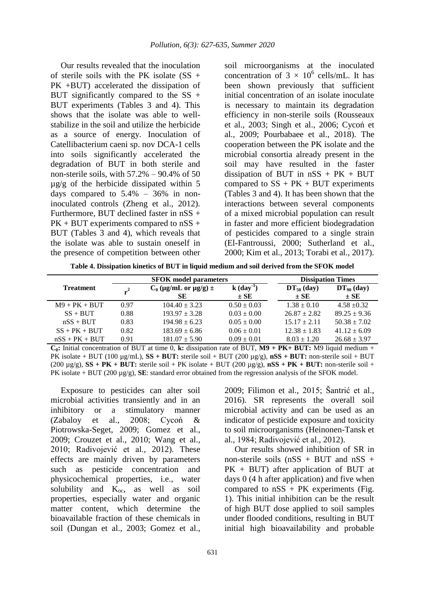Our results revealed that the inoculation of sterile soils with the PK isolate  $(SS +$ PK +BUT) accelerated the dissipation of BUT significantly compared to the  $SS +$ BUT experiments (Tables 3 and 4). This shows that the isolate was able to wellstabilize in the soil and utilize the herbicide as a source of energy. Inoculation of Catellibacterium caeni sp. nov DCA-1 cells into soils significantly accelerated the degradation of BUT in both sterile and non-sterile soils, with  $57.2\% - 90.4\%$  of 50 µg/g of the herbicide dissipated within 5 days compared to  $5.4\%$  –  $36\%$  in noninoculated controls (Zheng et al., 2012). Furthermore, BUT declined faster in nSS + PK + BUT experiments compared to nSS + BUT (Tables 3 and 4), which reveals that the isolate was able to sustain oneself in the presence of competition between other

soil microorganisms at the inoculated concentration of  $3 \times 10^6$  cells/mL. It has been shown previously that sufficient initial concentration of an isolate inoculate is necessary to maintain its degradation efficiency in non-sterile soils (Rousseaux et al., 2003; Singh et al., 2006; Cycoń et al., 2009; Pourbabaee et al., 2018). The cooperation between the PK isolate and the microbial consortia already present in the soil may have resulted in the faster dissipation of BUT in  $nSS + PK + BUT$ compared to  $SS + PK + BUT$  experiments (Tables 3 and 4). It has been shown that the interactions between several components of a mixed microbial population can result in faster and more efficient biodegradation of pesticides compared to a single strain (El-Fantroussi, 2000; Sutherland et al., 2000; Kim et al., 2013; Torabi et al., 2017).

**Table 4. Dissipation kinetics of BUT in liquid medium and soil derived from the SFOK model**

|                  |      | <b>SFOK</b> model parameters      |                                      | <b>Dissipation Times</b>    |                             |  |
|------------------|------|-----------------------------------|--------------------------------------|-----------------------------|-----------------------------|--|
| <b>Treatment</b> |      | $C_0$ (µg/mL or µg/g) $\pm$<br>SЕ | $k$ (day <sup>-1</sup> )<br>$\pm$ SE | $DT_{50}$ (day)<br>$\pm$ SE | $DT_{90}$ (day)<br>$\pm$ SE |  |
| $M9 + PK + BUT$  | 0.97 | $104.40 + 3.23$                   | $0.50 \pm 0.03$                      | $1.38 + 0.10$               | $4.58 + 0.32$               |  |
| $SS + BUT$       | 0.88 | $193.97 + 3.28$                   | $0.03 \pm 0.00$                      | $26.87 + 2.82$              | $89.25 \pm 9.36$            |  |
| $nSS + BUT$      | 0.83 | $194.98 \pm 6.23$                 | $0.05 \pm 0.00$                      | $15.17 + 2.11$              | $50.38 \pm 7.02$            |  |
| $SS + PK + BUT$  | 0.82 | $183.69 \pm 6.86$                 | $0.06 \pm 0.01$                      | $12.38 \pm 1.83$            | $41.12 \pm 6.09$            |  |
| $nSS + PK + BUT$ | 0.91 | $181.07 \pm 5.90$                 | $0.09 \pm 0.01$                      | $8.03 \pm 1.20$             | $26.68 \pm 3.97$            |  |

 $C_0$ : Initial concentration of BUT at time 0, k: dissipation rate of BUT,  $M9 + PK + BUT$ : M9 liquid medium + PK isolate + BUT (100 µg/mL), **SS + BUT:** sterile soil + BUT (200 µg/g), **nSS + BUT:** non-sterile soil + BUT (200  $\mu$ g/g), **SS** + **PK** + **BUT:** sterile soil + PK isolate + BUT (200  $\mu$ g/g), **nSS** + **PK** + **BUT:** non-sterile soil + PK isolate + BUT (200 µg/g), **SE**: standard error obtained from the regression analysis of the SFOK model.

Exposure to pesticides can alter soil microbial activities transiently and in an inhibitory or a stimulatory manner (Zabaloy et al., 2008; Cycoń & Piotrowska-Seget, 2009; Gomez et al., 2009; Crouzet et al., 2010; Wang et al., 2010; Radivojević et al., 2012). These effects are mainly driven by parameters such as pesticide concentration and physicochemical properties, i.e., water solubility and  $K_{oc}$ , as well as soil properties, especially water and organic matter content, which determine the bioavailable fraction of these chemicals in soil (Dungan et al., 2003; Gomez et al.,

2009; Filimon et al., 2015; Šantrić et al., 2016). SR represents the overall soil microbial activity and can be used as an indicator of pesticide exposure and toxicity to soil microorganisms (Heinonen-Tansk et al., 1984; Radivojević et al., 2012).

Our results showed inhibition of SR in non-sterile soils  $(nSS + BUT)$  and  $nSS +$ PK + BUT) after application of BUT at days 0 (4 h after application) and five when compared to  $nSS + PK$  experiments (Fig. 1). This initial inhibition can be the result of high BUT dose applied to soil samples under flooded conditions, resulting in BUT initial high bioavailability and probable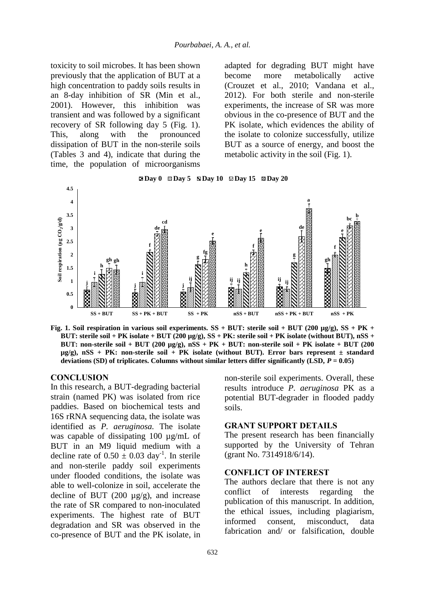toxicity to soil microbes. It has been shown previously that the application of BUT at a high concentration to paddy soils results in an 8-day inhibition of SR (Min et al., 2001). However, this inhibition was transient and was followed by a significant recovery of SR following day 5 (Fig. 1). This, along with the pronounced dissipation of BUT in the non-sterile soils (Tables 3 and 4), indicate that during the time, the population of microorganisms

adapted for degrading BUT might have become more metabolically active (Crouzet et al., 2010; Vandana et al., 2012). For both sterile and non-sterile experiments, the increase of SR was more obvious in the co-presence of BUT and the PK isolate, which evidences the ability of the isolate to colonize successfully, utilize BUT as a source of energy, and boost the metabolic activity in the soil (Fig. 1).





**Fig. 1. Soil respiration in various soil experiments. SS + BUT: sterile soil + BUT (200 µg/g), SS + PK + BUT: sterile soil + PK isolate + BUT (200 µg/g), SS + PK: sterile soil + PK isolate (without BUT), nSS + BUT: non-sterile soil + BUT (200 µg/g), nSS + PK + BUT: non-sterile soil + PK isolate + BUT (200 µg/g), nSS + PK: non-sterile soil + PK isolate (without BUT). Error bars represent ± standard deviations (SD) of triplicates. Columns without similar letters differ significantly (LSD,**  $P = 0.05$ **)** 

#### **CONCLUSION**

In this research, a BUT-degrading bacterial strain (named PK) was isolated from rice paddies. Based on biochemical tests and 16S rRNA sequencing data, the isolate was identified as *P. aeruginosa.* The isolate was capable of dissipating 100 µg/mL of BUT in an M9 liquid medium with a decline rate of  $0.50 \pm 0.03$  day<sup>-1</sup>. In sterile and non-sterile paddy soil experiments under flooded conditions, the isolate was able to well-colonize in soil, accelerate the decline of BUT (200  $\mu$ g/g), and increase the rate of SR compared to non-inoculated experiments. The highest rate of BUT degradation and SR was observed in the co-presence of BUT and the PK isolate, in

non-sterile soil experiments. Overall, these results introduce *P. aeruginosa* PK as a potential BUT-degrader in flooded paddy soils.

## **GRANT SUPPORT DETAILS**

The present research has been financially supported by the University of Tehran (grant No. 7314918/6/14).

### **CONFLICT OF INTEREST**

The authors declare that there is not any conflict of interests regarding the publication of this manuscript. In addition, the ethical issues, including plagiarism, informed consent, misconduct, data fabrication and/ or falsification, double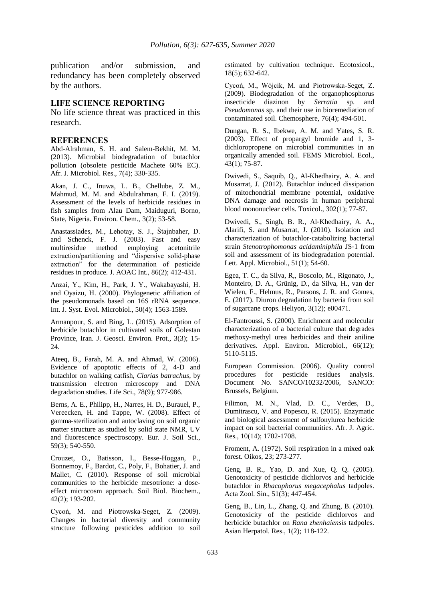publication and/or submission, and redundancy has been completely observed by the authors.

#### **LIFE SCIENCE REPORTING**

No life science threat was practiced in this research.

#### **REFERENCES**

Abd-Alrahman, S. H. and Salem-Bekhit, M. M. (2013). Microbial biodegradation of butachlor pollution (obsolete pesticide Machete 60% EC). Afr. J. Microbiol. Res., 7(4); 330-335.

Akan, J. C., Inuwa, L. B., Chellube, Z. M., Mahmud, M. M. and Abdulrahman, F. I. (2019). Assessment of the levels of herbicide residues in fish samples from Alau Dam, Maiduguri, Borno, State, Nigeria. Environ. Chem., 3(2); 53-58.

Anastassiades, M., Lehotay, S. J., Štajnbaher, D. and Schenck, F. J. (2003). Fast and easy multiresidue method employing acetonitrile extraction/partitioning and "dispersive solid-phase extraction" for the determination of pesticide residues in produce. J. AOAC Int., 86(2); 412-431.

Anzai, Y., Kim, H., Park, J. Y., Wakabayashi, H. and Oyaizu, H. (2000). Phylogenetic affiliation of the pseudomonads based on 16S rRNA sequence. Int. J. Syst. Evol. Microbiol., 50(4); 1563-1589.

Armanpour, S. and Bing, L. (2015). Adsorption of herbicide butachlor in cultivated soils of Golestan Province, Iran. J. Geosci. Environ. Prot., 3(3); 15- 24.

Ateeq, B., Farah, M. A. and Ahmad, W. (2006). Evidence of apoptotic effects of 2, 4-D and butachlor on walking catfish, *Clarias batrachus*, by transmission electron microscopy and DNA degradation studies. Life Sci., 78(9); 977-986.

Berns, A. E., Philipp, H., Narres, H. D., Burauel, P., Vereecken, H. and Tappe, W. (2008). Effect of gamma‐sterilization and autoclaving on soil organic matter structure as studied by solid state NMR, UV and fluorescence spectroscopy. Eur. J. Soil Sci., 59(3); 540-550.

Crouzet, O., Batisson, I., Besse-Hoggan, P., Bonnemoy, F., Bardot, C., Poly, F., Bohatier, J. and Mallet, C. (2010). Response of soil microbial communities to the herbicide mesotrione: a doseeffect microcosm approach. Soil Biol. Biochem., 42(2); 193-202.

Cycoń, M. and Piotrowska-Seget, Z. (2009). Changes in bacterial diversity and community structure following pesticides addition to soil estimated by cultivation technique. Ecotoxicol., 18(5); 632-642.

Cycoń, M., Wójcik, M. and Piotrowska-Seget, Z. (2009). Biodegradation of the organophosphorus insecticide diazinon by *Serratia* sp. and *Pseudomonas* sp. and their use in bioremediation of contaminated soil. Chemosphere, 76(4); 494-501.

Dungan, R. S., Ibekwe, A. M. and Yates, S. R. (2003). Effect of propargyl bromide and 1, 3 dichloropropene on microbial communities in an organically amended soil. FEMS Microbiol. Ecol., 43(1); 75-87.

Dwivedi, S., Saquib, Q., Al-Khedhairy, A. A. and Musarrat, J. (2012). Butachlor induced dissipation of mitochondrial membrane potential, oxidative DNA damage and necrosis in human peripheral blood mononuclear cells. Toxicol., 302(1); 77-87.

Dwivedi, S., Singh, B. R., Al‐Khedhairy, A. A., Alarifi, S. and Musarrat, J. (2010). Isolation and characterization of butachlor‐catabolizing bacterial strain *Stenotrophomonas acidaminiphila* JS‐1 from soil and assessment of its biodegradation potential. Lett. Appl. Microbiol., 51(1); 54-60.

Egea, T. C., da Silva, R,, Boscolo, M., Rigonato, J., Monteiro, D. A., Grünig, D., da Silva, H., van der Wielen, F., Helmus, R., Parsons, J. R. and Gomes, E. (2017). Diuron degradation by bacteria from soil of sugarcane crops. Heliyon, 3(12); e00471.

El-Fantroussi, S. (2000). Enrichment and molecular characterization of a bacterial culture that degrades methoxy-methyl urea herbicides and their aniline derivatives. Appl. Environ. Microbiol., 66(12); 5110-5115.

European Commission. (2006). Quality control procedures for pesticide residues analysis. Document No. SANCO/10232/2006, SANCO: Brussels, Belgium.

Filimon, M. N., Vlad, D. C., Verdes, D., Dumitrascu, V. and Popescu, R. (2015). Enzymatic and biological assessment of sulfonylurea herbicide impact on soil bacterial communities. Afr. J. Agric. Res., 10(14); 1702-1708.

Froment, A. (1972). Soil respiration in a mixed oak forest. Oikos, 23; 273-277.

Geng, B. R., Yao, D. and Xue, Q. Q. (2005). Genotoxicity of pesticide dichlorvos and herbicide butachlor in *Rhacophorus megacephalus* tadpoles. Acta Zool. Sin., 51(3); 447-454.

Geng, B., Lin, L., Zhang, Q. and Zhung, B. (2010). Genotoxicity of the pesticide dichlorvos and herbicide butachlor on *Rana zhenhaiensis* tadpoles. Asian Herpatol. Res., 1(2); 118-122.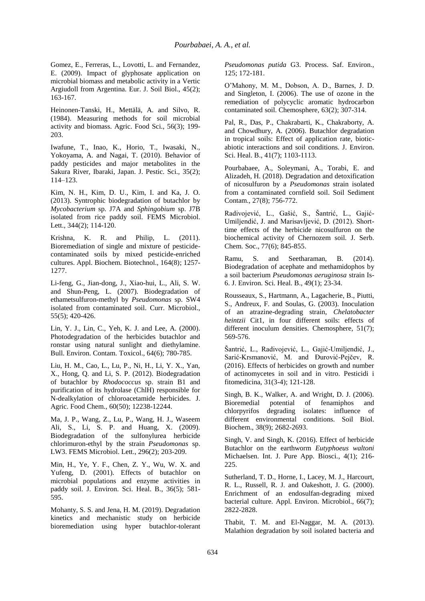Gomez, E., Ferreras, L., Lovotti, L. and Fernandez, E. (2009). Impact of glyphosate application on microbial biomass and metabolic activity in a Vertic Argiudoll from Argentina. Eur. J. Soil Biol., 45(2); 163-167.

Heinonen-Tanski, H., Mettälä, A. and Silvo, R. (1984). Measuring methods for soil microbial activity and biomass. Agric. Food Sci., 56(3); 199- 203.

Iwafune, T., Inao, K., Horio, T., Iwasaki, N., Yokoyama, A. and Nagai, T. (2010). Behavior of paddy pesticides and major metabolites in the Sakura River, Ibaraki, Japan. J. Pestic. Sci., 35(2); 114–123.

Kim, N. H., Kim, D. U., Kim, I. and Ka, J. O. (2013). Syntrophic biodegradation of butachlor by *Mycobacterium* sp. J7A and *Sphingobium* sp. J7B isolated from rice paddy soil. FEMS Microbiol. Lett., 344(2); 114-120.

Krishna, K. R. and Philip, L. (2011). Bioremediation of single and mixture of pesticidecontaminated soils by mixed pesticide-enriched cultures. Appl. Biochem. Biotechnol., 164(8); 1257- 1277.

Li-feng, G., Jian-dong, J., Xiao-hui, L., Ali, S. W. and Shun-Peng, L. (2007). Biodegradation of ethametsulfuron-methyl by *Pseudomonas* sp. SW4 isolated from contaminated soil. Curr. Microbiol., 55(5); 420-426.

Lin, Y. J., Lin, C., Yeh, K. J. and Lee, A. (2000). Photodegradation of the herbicides butachlor and ronstar using natural sunlight and diethylamine. Bull. Environ. Contam. Toxicol., 64(6); 780-785.

Liu, H. M., Cao, L., Lu, P., Ni, H., Li, Y. X., Yan, X., Hong, Q. and Li, S. P. (2012). Biodegradation of butachlor by *Rhodococcus* sp. strain B1 and purification of its hydrolase (ChlH) responsible for N-dealkylation of chloroacetamide herbicides. J. Agric. Food Chem., 60(50); 12238-12244.

Ma, J. P., Wang, Z., Lu, P., Wang, H. J., Waseem Ali, S., Li, S. P. and Huang, X. (2009). Biodegradation of the sulfonylurea herbicide chlorimuron-ethyl by the strain *Pseudomonas* sp. LW3. FEMS Microbiol. Lett., 296(2); 203-209.

Min, H., Ye, Y. F., Chen, Z. Y., Wu, W. X. and Yufeng, D. (2001). Effects of butachlor on microbial populations and enzyme activities in paddy soil. J. Environ. Sci. Heal. B., 36(5); 581- 595.

Mohanty, S. S. and Jena, H. M. (2019). Degradation kinetics and mechanistic study on herbicide bioremediation using hyper butachlor-tolerant *Pseudomonas putida* G3. Process. Saf. Environ., 125; 172-181.

O'Mahony, M. M., Dobson, A. D., Barnes, J. D. and Singleton, I. (2006). The use of ozone in the remediation of polycyclic aromatic hydrocarbon contaminated soil. Chemosphere, 63(2); 307-314.

Pal, R., Das, P., Chakrabarti, K., Chakraborty, A. and Chowdhury, A. (2006). Butachlor degradation in tropical soils: Effect of application rate, bioticabiotic interactions and soil conditions. J. Environ. Sci. Heal. B., 41(7); 1103-1113.

Pourbabaee, A., Soleymani, A., Torabi, E. and Alizadeh, H. (2018). Degradation and detoxification of nicosulfuron by a *Pseudomonas* strain isolated from a contaminated cornfield soil. Soil Sediment Contam., 27(8); 756-772.

Radivojević, L., Gašić, S., Šantrić, L., Gajić-Umiljendić, J. and Marisavljević, D. (2012). Shorttime effects of the herbicide nicosulfuron on the biochemical activity of Chernozem soil. J. Serb. Chem. Soc., 77(6); 845-855.

Ramu, S. and Seetharaman, B. (2014). Biodegradation of acephate and methamidophos by a soil bacterium *Pseudomonas aeruginosa* strain Is-6. J. Environ. Sci. Heal. B., 49(1); 23-34.

Rousseaux, S., Hartmann, A., Lagacherie, B., Piutti, S., Andreux, F. and Soulas, G. (2003). Inoculation of an atrazine-degrading strain, *Chelatobacter heintzii* Cit1, in four different soils: effects of different inoculum densities. Chemosphere, 51(7); 569-576.

Šantrić, L., Radivojević, L., Gajić-Umiljendić, J., Sarić-Krsmanović, M. and Đurović-Pejčev, R. (2016). Effects of herbicides on growth and number of actinomycetes in soil and in vitro. Pesticidi i fitomedicina, 31(3-4); 121-128.

Singh, B. K., Walker, A. and Wright, D. J. (2006). Bioremedial potential of fenamiphos and chlorpyrifos degrading isolates: influence of different environmental conditions. Soil Biol. Biochem., 38(9); 2682-2693.

Singh, V. and Singh, K. (2016). Effect of herbicide Butachlor on the earthworm *Eutyphoeus waltoni* Michaelsen. Int. J. Pure App. Biosci., 4(1); 216- 225.

Sutherland, T. D., Horne, I., Lacey, M. J., Harcourt, R. L., Russell, R. J. and Oakeshott, J. G. (2000). Enrichment of an endosulfan-degrading mixed bacterial culture. Appl. Environ. Microbiol., 66(7); 2822-2828.

Thabit, T. M. and El-Naggar, M. A. (2013). Malathion degradation by soil isolated bacteria and